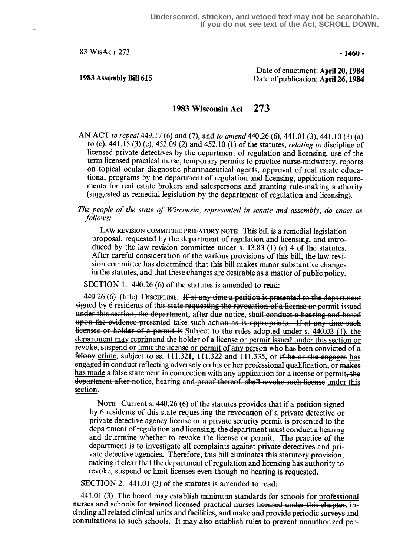$83$  WisAct 273 - 1460 -

Date of enactment: April 20, 1984 1983 Assembly Bill 615 Date of publication: April 26, 1984

# 1983 Wisconsin Act 273

AN ACT to repeal 449.17 (6) and (7); and to amend 440.26 (6), 441.01 (3), 441.10 (3) (a) to (c),  $441.15$  (3) (c),  $452.09$  (2) and  $452.10$  (1) of the statutes, *relating to* discipline of licensed private detectives by the department of regulation and licensing, use of the term licensed practical nurse, temporary permits to practice nurse-midwifery, reports on topical ocular diagnostic pharmaceutical agents, approval of real estate educational programs by the department of regulation and licensing, application requirements for real estate brokers and salespersons and granting rule-making authority (suggested as remedial legislation by the department of regulation and licensing) .

## The people of the state of Wisconsin, represented in senate and assembly, do enact as follows:

LAW REVISION COMMITTEE PREFATORY NOTE: This bill is a remedial legislation proposal, requested by the department of regulation and licensing, and introduced by the law revision committee under s. 13.83 (1) (c) 4 of the statutes. After careful consideration of the various provisions of this bill, the law revision committee has determined that this bill makes minor substantive changes in the statutes, and that these changes are desirable as a matter of public policy .

SECTION 1. 440.26 (6) of the statutes is amended to read:

440.26 (6) (title) DISCIPLINE. If at any time a petition is presented to the department signed by 6 residents of this state requesting the revocation of a license or permit issued under this section, the department, after due notice, shall conduct a hearing and based<br>upon the evidence presented-take such action as is appropriate. If at any time such licensee or holder of a permit is Subject to the rules adopted under s. 440.03 (1), the department may reprimand the holder of a license or yermit issued under this section or revoke, suspend or limit the license or permit of any person who has been convicted of a  $t_{\text{elony}}$  crime, subject to ss. 111.321, 111.322 and 111.335, or if he or she engages has engaged in conduct reflecting adversely on his or her professional qualification, or makes has made a false statement in connection with any application for a license or permit, the revoke, suspend on<br>
felony <u>crime</u>, subjer<br>
<u>lengaged</u> in conduction<br>
<u>has made</u> a false st<br>
department after n<br>
<u>section</u>. department after notice, hearing and proof thereof, shall revoke such license under this section.

NOTE: Current s. 440.26 (6) of the statutes provides that if a petition signed by 6 residents of this state requesting the revocation of a private detective or private detective agency license or a private security permit is presented to the department of regulation and licensing, the department must conduct a hearing and determine whether to revoke the license or permit. The practice of the department is to investigate all complaints against private detectives and private detective agencies. Therefore, this bill eliminates this statutory provision, making it clear that the department of regulation and licensing has authority to revoke, suspend or limit licenses even though no hearing is requested.

SECTION 2. 441.01 (3) of the statutes is amended to read:

441 .01 (3) The board may establish minimum standards for schools for professional nurses and schools for trained licensed practical nurses licensed under this chapter, including all related clinical units and facilities, and make and provide periodic surveys and consultations to such schools. It may also establish rules to prevent unauthorized per-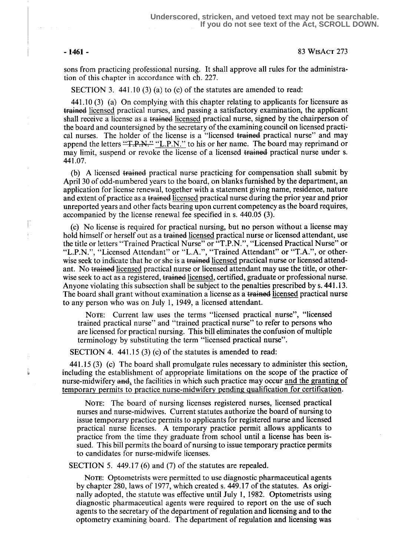Ţ.

i<br>H

### -1461- 83 WisAcT 273

sons from practicing professional nursing. It shall approve all rules for the administration of this chapter in accordance with ch. 227.

SECTION 3.  $441.10(3)(a)$  to (c) of the statutes are amended to read:

441 .10 (3) (a) On complying with this chapter relating to applicants for licensure as trained licensed practical nurses, and passing a satisfactory examination, the applicant shall receive a license as a trained licensed practical nurse, signed by the chairperson of the board and countersigned by the secretary of the examining council on licensed practical nurses. The holder of the license is a "licensed trained practical nurse" and may append the letters "T.P.N." "L.P.N." to his or her name. The board may reprimand or may limit, suspend or revoke the license of a licensed trained practical nurse under s. 441 .07.

(b) A licensed trained practical nurse practicing for compensation shall submit by April 30 of odd-numbered years to the board, on blanks furnished by the department, an application for license renewal, together with a statement giving name, residence, nature and extent of practice as a trained licensed practical nurse during the prior year and prior unreported years and other facts bearing upon current competency as the board requires, accompanied by the license renewal fee specified in s. 440.05 (3).

(c) No license is required for practical nursing, but no person without a license may hold himself or herself out as a trained licensed practical nurse or licensed attendant, use the title or letters "Trained Practical Nurse" or "T.P .N.", "Licensed Practical Nurse" or "L.P.N.", "Licensed Attendant" or "L.A.", "Trained Attendant" or "T.A.", or otherwise seek to indicate that he or she is a trained licensed practical nurse or licensed attendant. No trained licensed practical nurse or licensed attendant may use the title, or otherwise seek to act as a registered, trained licensed, certified, graduate or professional nurse. Anyone violating this subsection shall be subject to the penalties prescribed by s. 441 .13. The board shall grant without examination a license as a trained licensed practical nurse to any person who was on July 1, 1949, a licensed attendant.

NOTE: Current law uses the terms "licensed practical nurse", "licensed trained practical nurse" and "trained practical nurse" to refer to persons who are licensed for practical nursing. This bill eliminates the confusion of multiple terminology by substituting the term "licensed practical nurse" .

SECTION 4. 441.15 (3) (c) of the statutes is amended to read:

441 .15 (3) (c) The board shall promulgate rules necessary to administer this section, including the establishment of appropriate limitations on the scope of the practice of nurse-midwifery  $\text{and}_1$ , the facilities in which such practice may occur and the granting of temporary permits to practice nurse-midwifery pending qualification for certification .

NOTE: The board of nursing licenses registered nurses, licensed practical nurses and nurse-midwives. Current statutes authorize the board of nursing to issue temporary practice permits to applicants for registered nurse and licensed practical nurse licenses. A temporary practice permit allows applicants to practice from the time they graduate from school until a license has been issued. This bill permits the board of nursing to issue temporary practice permits to candidates for nurse-midwife licenses .

SECTION 5. 449.17 (6) and (7) of the statutes are repealed.

NOTE: Optometrists were permitted to use diagnostic pharmaceutical agents by chapter 280, laws of 1977, which created s. 449.17 of the statutes . As originally adopted, the statute was effective until July 1, 1982. Optometrists using diagnostic pharmaceutical agents were required to report on the use of such agents to the secretary of the department of regulation and licensing and to the optometry examining board. The department of regulation and licensing was